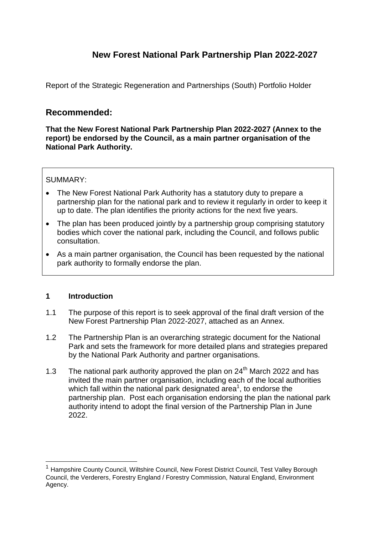# **New Forest National Park Partnership Plan 2022-2027**

Report of the Strategic Regeneration and Partnerships (South) Portfolio Holder

## **Recommended:**

**That the New Forest National Park Partnership Plan 2022-2027 (Annex to the report) be endorsed by the Council, as a main partner organisation of the National Park Authority.** 

#### SUMMARY:

- The New Forest National Park Authority has a statutory duty to prepare a partnership plan for the national park and to review it regularly in order to keep it up to date. The plan identifies the priority actions for the next five years.
- The plan has been produced jointly by a partnership group comprising statutory bodies which cover the national park, including the Council, and follows public consultation.
- As a main partner organisation, the Council has been requested by the national park authority to formally endorse the plan.

#### **1 Introduction**

1

- 1.1 The purpose of this report is to seek approval of the final draft version of the New Forest Partnership Plan 2022-2027, attached as an Annex.
- 1.2 The Partnership Plan is an overarching strategic document for the National Park and sets the framework for more detailed plans and strategies prepared by the National Park Authority and partner organisations.
- 1.3 The national park authority approved the plan on  $24<sup>th</sup>$  March 2022 and has invited the main partner organisation, including each of the local authorities which fall within the national park designated area<sup>1</sup>, to endorse the partnership plan. Post each organisation endorsing the plan the national park authority intend to adopt the final version of the Partnership Plan in June 2022.

<sup>1</sup> Hampshire County Council, Wiltshire Council, New Forest District Council, Test Valley Borough Council, the Verderers, Forestry England / Forestry Commission, Natural England, Environment Agency.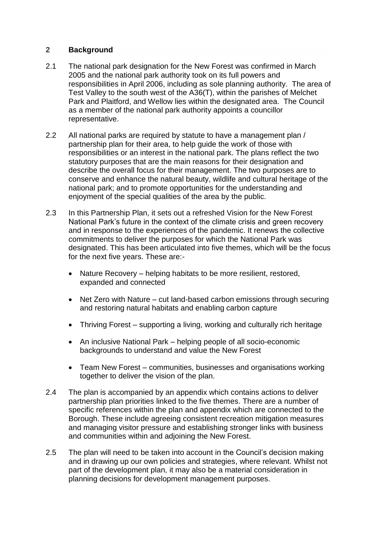### **2 Background**

- 2.1 The national park designation for the New Forest was confirmed in March 2005 and the national park authority took on its full powers and responsibilities in April 2006, including as sole planning authority. The area of Test Valley to the south west of the A36(T), within the parishes of Melchet Park and Plaitford, and Wellow lies within the designated area. The Council as a member of the national park authority appoints a councillor representative.
- 2.2 All national parks are required by statute to have a management plan / partnership plan for their area, to help guide the work of those with responsibilities or an interest in the national park. The plans reflect the two statutory purposes that are the main reasons for their designation and describe the overall focus for their management. The two purposes are to conserve and enhance the natural beauty, wildlife and cultural heritage of the national park; and to promote opportunities for the understanding and enjoyment of the special qualities of the area by the public.
- 2.3 In this Partnership Plan, it sets out a refreshed Vision for the New Forest National Park's future in the context of the climate crisis and green recovery and in response to the experiences of the pandemic. It renews the collective commitments to deliver the purposes for which the National Park was designated. This has been articulated into five themes, which will be the focus for the next five years. These are:-
	- Nature Recovery helping habitats to be more resilient, restored, expanded and connected
	- Net Zero with Nature cut land-based carbon emissions through securing and restoring natural habitats and enabling carbon capture
	- Thriving Forest supporting a living, working and culturally rich heritage
	- An inclusive National Park helping people of all socio-economic backgrounds to understand and value the New Forest
	- Team New Forest communities, businesses and organisations working together to deliver the vision of the plan.
- 2.4 The plan is accompanied by an appendix which contains actions to deliver partnership plan priorities linked to the five themes. There are a number of specific references within the plan and appendix which are connected to the Borough. These include agreeing consistent recreation mitigation measures and managing visitor pressure and establishing stronger links with business and communities within and adjoining the New Forest.
- 2.5 The plan will need to be taken into account in the Council's decision making and in drawing up our own policies and strategies, where relevant. Whilst not part of the development plan, it may also be a material consideration in planning decisions for development management purposes.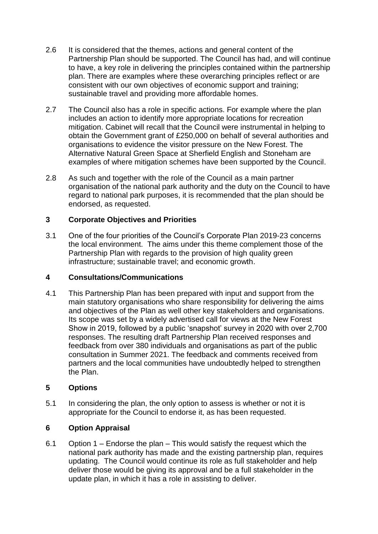- 2.6 It is considered that the themes, actions and general content of the Partnership Plan should be supported. The Council has had, and will continue to have, a key role in delivering the principles contained within the partnership plan. There are examples where these overarching principles reflect or are consistent with our own objectives of economic support and training; sustainable travel and providing more affordable homes.
- 2.7 The Council also has a role in specific actions. For example where the plan includes an action to identify more appropriate locations for recreation mitigation. Cabinet will recall that the Council were instrumental in helping to obtain the Government grant of £250,000 on behalf of several authorities and organisations to evidence the visitor pressure on the New Forest. The Alternative Natural Green Space at Sherfield English and Stoneham are examples of where mitigation schemes have been supported by the Council.
- 2.8 As such and together with the role of the Council as a main partner organisation of the national park authority and the duty on the Council to have regard to national park purposes, it is recommended that the plan should be endorsed, as requested.

### **3 Corporate Objectives and Priorities**

3.1 One of the four priorities of the Council's Corporate Plan 2019-23 concerns the local environment. The aims under this theme complement those of the Partnership Plan with regards to the provision of high quality green infrastructure; sustainable travel; and economic growth.

#### **4 Consultations/Communications**

4.1 This Partnership Plan has been prepared with input and support from the main statutory organisations who share responsibility for delivering the aims and objectives of the Plan as well other key stakeholders and organisations. Its scope was set by a widely advertised call for views at the New Forest Show in 2019, followed by a public 'snapshot' survey in 2020 with over 2,700 responses. The resulting draft Partnership Plan received responses and feedback from over 380 individuals and organisations as part of the public consultation in Summer 2021. The feedback and comments received from partners and the local communities have undoubtedly helped to strengthen the Plan.

### **5 Options**

5.1 In considering the plan, the only option to assess is whether or not it is appropriate for the Council to endorse it, as has been requested.

### **6 Option Appraisal**

6.1 Option 1 – Endorse the plan – This would satisfy the request which the national park authority has made and the existing partnership plan, requires updating. The Council would continue its role as full stakeholder and help deliver those would be giving its approval and be a full stakeholder in the update plan, in which it has a role in assisting to deliver.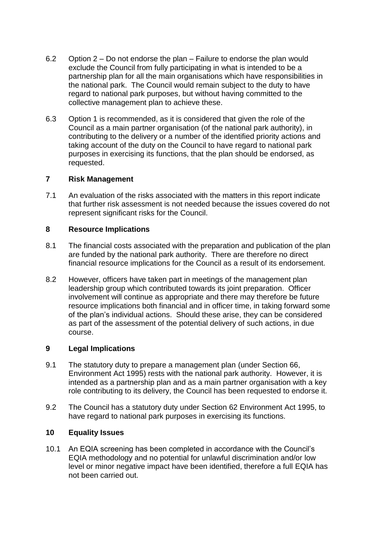- 6.2 Option 2 Do not endorse the plan Failure to endorse the plan would exclude the Council from fully participating in what is intended to be a partnership plan for all the main organisations which have responsibilities in the national park. The Council would remain subject to the duty to have regard to national park purposes, but without having committed to the collective management plan to achieve these.
- 6.3 Option 1 is recommended, as it is considered that given the role of the Council as a main partner organisation (of the national park authority), in contributing to the delivery or a number of the identified priority actions and taking account of the duty on the Council to have regard to national park purposes in exercising its functions, that the plan should be endorsed, as requested.

#### **7 Risk Management**

7.1 An evaluation of the risks associated with the matters in this report indicate that further risk assessment is not needed because the issues covered do not represent significant risks for the Council.

### **8 Resource Implications**

- 8.1 The financial costs associated with the preparation and publication of the plan are funded by the national park authority. There are therefore no direct financial resource implications for the Council as a result of its endorsement.
- 8.2 However, officers have taken part in meetings of the management plan leadership group which contributed towards its joint preparation. Officer involvement will continue as appropriate and there may therefore be future resource implications both financial and in officer time, in taking forward some of the plan's individual actions. Should these arise, they can be considered as part of the assessment of the potential delivery of such actions, in due course.

### **9 Legal Implications**

- 9.1 The statutory duty to prepare a management plan (under Section 66, Environment Act 1995) rests with the national park authority. However, it is intended as a partnership plan and as a main partner organisation with a key role contributing to its delivery, the Council has been requested to endorse it.
- 9.2 The Council has a statutory duty under Section 62 Environment Act 1995, to have regard to national park purposes in exercising its functions.

### **10 Equality Issues**

10.1 An EQIA screening has been completed in accordance with the Council's EQIA methodology and no potential for unlawful discrimination and/or low level or minor negative impact have been identified, therefore a full EQIA has not been carried out.